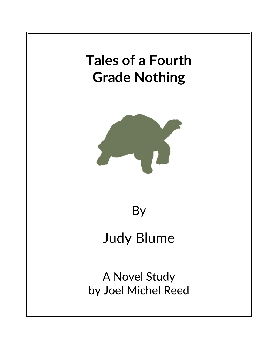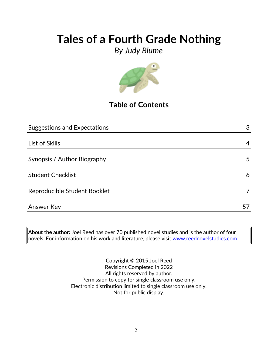*By Judy Blume*



## **Table of Contents**

| <b>Suggestions and Expectations</b> | 3  |
|-------------------------------------|----|
|                                     |    |
| List of Skills                      | 4  |
|                                     |    |
| Synopsis / Author Biography         | 5  |
|                                     |    |
| <b>Student Checklist</b>            | 6  |
|                                     |    |
| Reproducible Student Booklet        | 7  |
|                                     |    |
| <b>Answer Key</b>                   | 5/ |

**About the author:** Joel Reed has over 70 published novel studies and is the author of four novels. For information on his work and literature, please visit [www.reednovelstudies.com](http://www.reednovelstudies.com/)

> Copyright © 2015 Joel Reed Revisions Completed in 2022 All rights reserved by author. Permission to copy for single classroom use only. Electronic distribution limited to single classroom use only. Not for public display.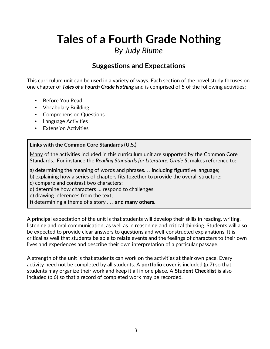## *By Judy Blume*

## **Suggestions and Expectations**

This curriculum unit can be used in a variety of ways. Each section of the novel study focuses on one chapter of *Tales of a Fourth Grade Nothing* and is comprised of 5 of the following activities:

- Before You Read
- Vocabulary Building
- Comprehension Questions
- Language Activities
- **Extension Activities**

### **Links with the Common Core Standards (U.S.)**

Many of the activities included in this curriculum unit are supported by the Common Core Standards. For instance the *Reading Standards for Literature, Grade 5*, makes reference to:

a) determining the meaning of words and phrases. . . including figurative language;

b) explaining how a series of chapters fits together to provide the overall structure;

c) compare and contrast two characters;

d) determine how characters … respond to challenges;

e) drawing inferences from the text;

f) determining a theme of a story . . . **and many others.**

A principal expectation of the unit is that students will develop their skills in reading, writing, listening and oral communication, as well as in reasoning and critical thinking. Students will also be expected to provide clear answers to questions and well-constructed explanations. It is critical as well that students be able to relate events and the feelings of characters to their own lives and experiences and describe their own interpretation of a particular passage.

A strength of the unit is that students can work on the activities at their own pace. Every activity need not be completed by all students. A **portfolio cover** is included (p.7) so that students may organize their work and keep it all in one place. A **Student Checklist** is also included (p.6) so that a record of completed work may be recorded.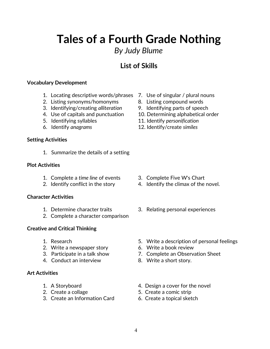## *By Judy Blume*

## **List of Skills**

### **Vocabulary Development**

- 1. Locating descriptive words/phrases 7. Use of singular / plural nouns
- 2. Listing synonyms/homonyms 8. Listing compound words
- 3. Identifying/creating *alliteration* 9. Identifying parts of speech
- 
- 
- 

### **Setting Activities**

1. Summarize the details of a setting

### **Plot Activities**

- 1. Complete a *time line* of events 3. Complete Five W's Chart
- 

### **Character Activities**

- 
- 2. Complete a character comparison

### **Creative and Critical Thinking**

- 
- 2. Write a newspaper story 6. Write a book review
- 
- 4. Conduct an interview 8. Write a short story.

### **Art Activities**

- 
- 
- 3. Create an Information Card 6. Create a topical sketch
- 
- 
- 
- 4. Use of capitals and punctuation 10. Determining alphabetical order
- 5. Identifying syllables 11. Identify *personification*
- 6. Identify *anagrams* 12. Identify/create *similes*

- 
- 2. Identify conflict in the story 4. Identify the climax of the novel.
- 1. Determine character traits 3. Relating personal experiences
- 1. Research 5. Write a description of personal feelings
	-
- 3. Participate in a talk show 7. Complete an Observation Sheet
	-
- 1. A Storyboard 4. Design a cover for the novel
- 2. Create a collage 5. Create a comic strip
	-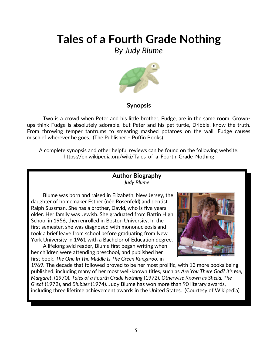*By Judy Blume*



### **Synopsis**

Two is a crowd when Peter and his little brother, Fudge, are in the same room. Grownups think Fudge is absolutely adorable, but Peter and his pet turtle, Dribble, know the truth. From throwing temper tantrums to smearing mashed potatoes on the wall, Fudge causes mischief wherever he goes. (The Publisher – Puffin Books)

A complete synopsis and other helpful reviews can be found on the following website: https://en.wikipedia.org/wiki/Tales of a Fourth Grade Nothing

### **Author Biography** *Judy Blume*

Blume was born and raised in Elizabeth, New Jersey, the daughter of homemaker Esther (née Rosenfeld) and dentist Ralph Sussman. She has a brother, David, who is five years older. Her family was Jewish. She graduated from Battin High School in 1956, then enrolled in Boston University. In the first semester, she was diagnosed with mononucleosis and took a brief leave from school before graduating from New York University in 1961 with a Bachelor of Education degree.

A lifelong avid reader, Blume first began writing when her children were attending preschool, and published her first book, *The One In The Middle Is The Green Kangaroo*, in



1969. The decade that followed proved to be her most prolific, with 13 more books being published, including many of her most well-known titles, such as *Are You There God? It's Me, Margaret*. (1970), *Tales of a Fourth Grade Nothing* (1972), *Otherwise Known as Sheila, The Great* (1972), and *Blubber* (1974). Judy Blume has won more than 90 literary awards, including three lifetime achievement awards in the United States. (Courtesy of Wikipedia)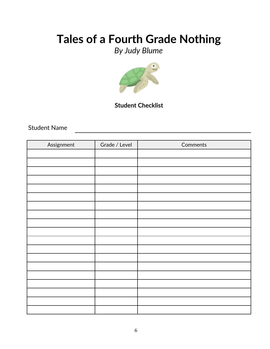# *By Judy Blume*



### **Student Checklist**

Student Name

| Assignment | Grade / Level | Comments |
|------------|---------------|----------|
|            |               |          |
|            |               |          |
|            |               |          |
|            |               |          |
|            |               |          |
|            |               |          |
|            |               |          |
|            |               |          |
|            |               |          |
|            |               |          |
|            |               |          |
|            |               |          |
|            |               |          |
|            |               |          |
|            |               |          |
|            |               |          |
|            |               |          |
|            |               |          |
|            |               |          |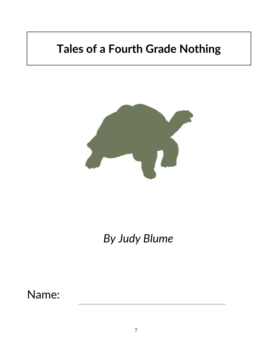

*By Judy Blume*

Name: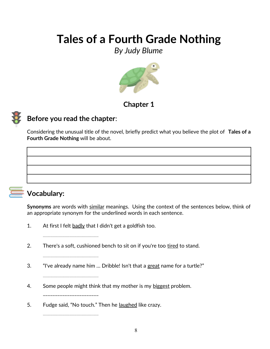*By Judy Blume*



## **Chapter 1**



## **Before you read the chapter**:

Considering the unusual title of the novel, briefly predict what you believe the plot of **Tales of a Fourth Grade Nothing** will be about.



## **Vocabulary:**

**Synonyms** are words with similar meanings. Using the context of the sentences below, think of an appropriate synonym for the underlined words in each sentence.

1. At first I felt  $\frac{badly}{bd}$  that I didn't get a goldfish too.

\_\_\_\_\_\_\_\_\_\_\_\_\_\_\_\_\_\_\_\_\_\_\_\_\_\_\_\_\_\_\_\_\_\_\_\_\_\_\_\_\_\_\_\_\_\_

\_\_\_\_\_\_\_\_\_\_\_\_\_\_\_\_\_\_\_\_\_\_\_\_\_\_\_\_\_\_\_\_\_\_\_\_\_\_\_\_\_\_\_\_\_\_

\_\_\_\_\_\_\_\_\_\_\_\_\_\_\_\_\_\_\_\_\_\_\_\_\_\_\_\_\_\_\_\_\_\_\_\_\_\_\_\_\_\_\_\_\_\_

\_\_\_\_\_\_\_\_\_\_\_\_\_\_\_\_\_\_\_\_\_\_\_

\_\_\_\_\_\_\_\_\_\_\_\_\_\_\_\_\_\_\_\_\_\_\_\_\_\_\_\_\_\_\_\_\_\_\_\_\_\_\_\_\_\_\_\_\_\_

2. There's a soft, cushioned bench to sit on if you're too tired to stand.

- 3. "I've already name him … Dribble! Isn't that a great name for a turtle?"
- 4. Some people might think that my mother is my biggest problem.
- 5. Fudge said, "No touch." Then he <u>laughed</u> like crazy.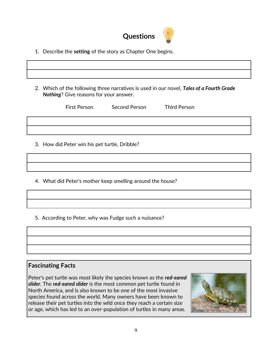

- 1. Describe the **setting** of the story as Chapter One begins.
- 2. Which of the following three narratives is used in our novel, *Tales of a Fourth Grade Nothing*? Give reasons for your answer.

|                                               | First Person | Second Person | <b>Third Person</b> |  |
|-----------------------------------------------|--------------|---------------|---------------------|--|
|                                               |              |               |                     |  |
|                                               |              |               |                     |  |
| 3. How did Peter win his pet turtle, Dribble? |              |               |                     |  |

4. What did Peter's mother keep smelling around the house?

5. According to Peter, why was Fudge such a nuisance?

### **Fascinating Facts**

Peter's pet turtle was most likely the species known as the *red-eared slider*. The *red-eared slider* is the most common pet turtle found in North America, and is also known to be one of the most invasive species found across the world. Many owners have been known to release their pet turtles into the wild once they reach a certain size or age, which has led to an over-population of turtles in many areas.

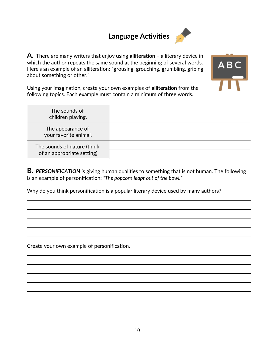## **Language Activities**



**A**. There are many writers that enjoy using **alliteration –** a literary device in which the author **r**epeats the same sound at the beginning of several words. Here's an example of an alliteration: "**g**rousing, **g**rouching, **g**rumbling, **g**riping about something or other."



Using your imagination, create your own examples of **alliteration** from the following topics. Each example must contain a minimum of three words.

| The sounds of<br>children playing.                        |  |
|-----------------------------------------------------------|--|
| The appearance of<br>your favorite animal.                |  |
| The sounds of nature (think<br>of an appropriate setting) |  |

**B.** *PERSONIFICATION* is giving human qualities to something that is not human. The following is an example of personification: *"The popcorn leapt out of the bowl."*

Why do you think personification is a popular literary device used by many authors?



Create your own example of personification.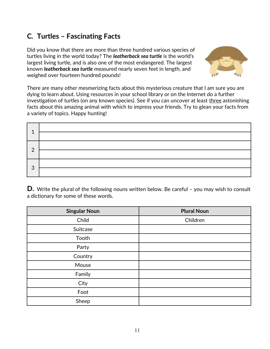## **C***.* **Turtles – Fascinating Facts**

Did you know that there are more than three hundred various species of turtles living in the world today? The *leatherback sea turtle* is the world's largest living turtle, and is also one of the most endangered. The largest known *leatherback sea turtle* measured nearly seven feet in length, and weighed over fourteen hundred pounds!



There are many other mesmerizing facts about this mysterious creature that I am sure you are dying to learn about. Using resources in your school library or on the Internet do a further investigation of turtles (on any known species). See if you can uncover at least three astonishing facts about this amazing animal with which to impress your friends. Try to glean your facts from a variety of topics. Happy hunting!

| 1              |  |
|----------------|--|
|                |  |
| $\overline{2}$ |  |
|                |  |
| 3              |  |
|                |  |

**D.** Write the plural of the following nouns written below. Be careful – you may wish to consult a dictionary for some of these words.

| <b>Singular Noun</b> | <b>Plural Noun</b> |
|----------------------|--------------------|
| Child                | Children           |
| Suitcase             |                    |
| Tooth                |                    |
| Party                |                    |
| Country              |                    |
| Mouse                |                    |
| Family               |                    |
| City                 |                    |
| Foot                 |                    |
| Sheep                |                    |